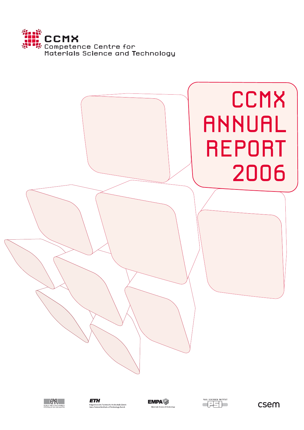







**EMPA** 



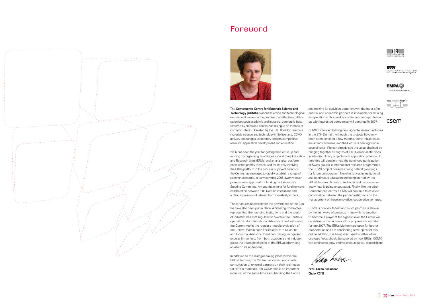The **Competence Centre for Materials Science and Technology (CCMX)** is about scientific and technological exchange. It works on the premise that effective collaboration between academic and industrial partners is best fostered by close and continuous dialogue on themes of common interest. Created by the ETH Board to reinforce materials science and technology in Switzerland, CCMX actively encourages exploratory and pre-competitive research, application development and education.

2006 has been the year for getting the Centre up and running. By organising its activities around three Education and Research Units (ERUs) and an analytical platform, on selected priority themes, and by actively involving the ERUs/platform in the process of project selection, the Centre has managed to rapidly establish a range of research consortia. In early summer 2006, twenty-seven projects were approved for funding by the Centre's Steering Committee. Among the criteria for funding were collaboration between ETH Domain institutions and a clear expression of interest from industrial partners.

The structures necessary for the governance of the Centre have also been put in place. A Steering Committee, representing the founding institutions and the world of industry, has met regularly to oversee the Centre's operations. An International Advisory Board will assist the Committee in the regular strategic evaluation of the Centre. Within each ERU/platform, a Scientific and Industrial Advisory Board comprising recognised experts in the field, from both academia and industry, guide the strategic choices of the ERU/platform and advise on its operations.

In addition to the dialogue taking place within the ERUs/platform, the Centre has carried out a wide consultation of external partners on their real needs for R&D in materials. For CCMX this is an important initiative; at the same time as publicising the Centre

and making its activities better known, the input of industrial and economic partners is invaluable for refining its operations. This work is continuing: in-depth followup with interested companies will continue in 2007.

CCMX is intended to bring new vigour to research activities in the ETH Domain. Although the projects have only been operational for a few months, some initial results are already available, and the Centre is bearing fruit in several ways. We can already see the value obtained by bringing together strengths of ETH-Domain institutions in interdisciplinary projects with application potential. In time this will certainly help the continued participation of Swiss groups in international research programmes, the CCMX project consortia being natural groupings for future collaboration. Novel initiatives in institutional and continuous education are being started by the ERUs/platform. Access to technological resources and know-how is being encouraged. Finally, like the other Competence Centres, CCMX will continue to catalyse coordination between the partner institutions on the management of these innovative, cooperative ventures.

Wag hires.

csem



CCMX is now on its feet and much promise is shown by the first wave of projects. In line with its ambition to become a player at the highest level, the Centre will capitalise on this. A new call for proposals is intended for late 2007. The ERUs/platform are open for further collaboration and are considering new topics for this call. In addition, it is being discussed whether other strategic fields should be covered by new ERUs. CCMX will continue to grow and we encourage you to participate.



Prof. Karen Scrivener Chair, CCMX



ETH.





## Foreword

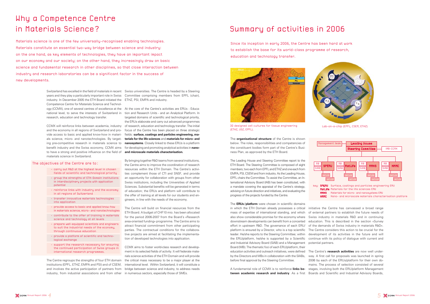# Why a Competence Centre in Materials Science?

Materials science is one of the few universally-recognised enabling technologies. Materials constitute an essential two-way bridge between science and industry: on the one hand, as key elements of technologies, they have an important impact on our economy and our society; on the other hand, they increasingly draw on basic science and fundamental research in other disciplines, so that close interaction between industry and research laboratories can be a significant factor in the success of new developments.

> Switzerland has excelled in the field of materials in recent Swiss universities. The Centre is headed by a Steering years and they play a particularly important role in Swiss Committee comprising members from EPFL (chair), industry. In December 2005 the ETH Board initiated the ETHZ, PSI, EMPA and industry. Competence Centre for Materials Science and Technology (CCMX), one of several centres of excellence at the At the core of the Centre's activities are ERUs - Educanational level, to serve the interests of Switzerland in tion and Research Units - and an Analytical Platform. In research, education and technology transfer.

> and the economy in all regions of Switzerland and provide access to basic and applied know-how in materi- fields: **surface, coatings and particles engineering, ma**benefit industry and the Swiss economy, CCMX aims  $\;$  for developing and promoting analytical activities in **nano**to have a strong and positive influence on the field of **and microscale materials characterisation.** materials science in Switzerland.

> CCMX will reinforce links between academia, industry of research, education and technology transfer. The initial als science, micro- and nanotechnologies. By target-**terials for the life sciences** and **materials for micro- and**  ing pre-competitive research in materials science to **nanosystems**. Closely linked to these ERUs is a platform targeted domains of scientific and technological priority, the ERUs elaborate and carry out advanced programmes focus of the Centre has been placed on three strategic

> > The Centre will build on financial resources from the ETH Board. A budget of CHF10 mio. has been allocated for the period 2006-2007 from the Board's «Research area-oriented funding» programme. The Centre aims to attract financial commitment from other participating parties. The contractual conditions for the collaborative projects are aimed at facilitating the implementation of developed technologies into application.

The Centre regroups the strengths of four ETH domain institutions (EPFL, ETHZ, EMPA and PSI) and of CSEM, industry, from industrial associations and from other in numerous sectors, especially those of SMEs.

**SIAB** MB

and involves the active participation of partners from bridge between science and industry, to address needs CCMX aims to foster world-class research and development in its selected fields of activity. It will federate materials science activities of the ETH Domain and will provide the critical mass necessary to be a major player at the international level. Within Switzerland, it will constitute a

By bringing together R&D teams from several institutions, the Centre aims to improve the coordination of research resources within the ETH Domain. The Centre's activities complement those of CTI and SNSF, and provide an opportunity for collaboration with groups from other Swiss institutions, including the Universities of Applied Sciences. Substantial benefits will be generated in terms of education; the ERUs and platform will contribute to the offer of training at all levels for our students and engineers, in line with the needs of the economy.

- carry out R&D at the highest level in chosen fields of scientific and technological priority
- group the strengths of ETH-Domain institutions in interdisciplinary projects with application potential
- reinforce links with industry and the economy in all regions of Switzerland
- transfer innovative materials technologies into application
- provide access to basic and applied know-how in materials science, micro- and nanotechnologies
- contribute to the offer of training in materials
- science and technology at all levels - prepare well-equipped scientists and engineers
- to suit the industrial needs of the economy, through continuous education
- provide a platform of scientific and technological exchange
- support the research necessary for ensuring the continued participation of Swiss groups in international research programmes.

### The objectives of the Centre are to:

## Summary of activities in 2006

Since its inception in early 2006, the Centre has been hard at work to establish the base for its world-class programme of research, education and technology transfer.





The **organisational structure** of the Centre is shown below. The roles, responsibilities and competencies of the constituent bodies form part of the Centre's Business Plan, as approved by the ETH Board.

The Leading House and Steering Committee report to the ETH Board. The Steering Committee is composed of eight members; two each from EPFL and ETHZ and one each from EMPA, PSI, CSEM and from industry. As the Leading House, EPFL chairs the Committee. To assist the Committee, an International Advisory Board (IAB) has been constituted, with a mandate covering the appraisal of the Centre's strategy, advising on future direction and initiatives, and evaluating the progress of the projects funded by the Centre.

The **ERUs/platform** were chosen in scientific domains in which the ETH Domain already possesses a critical mass of expertise of international standing, and which also show considerable promise for the economy where Swiss industry in materials R&D and in continuing downstream developments can benefit from a concerted education. This is described in the section «Survey effort in upstream R&D. The governance of each ERU/ of the demands of Swiss industry in materials R&D». platform is ensured by a Director, who is a top scientific The Centre considers this action to be crucial for the leader. He/she reports to the Steering Committee; within the ERU/platform, he/she is supported by a Scientific continue with its policy of dialogue with current and and Industrial Advisory Board (SIAB) and a Management Board (MB). The thematic foci of each ERU/platform, their education activities and outreach initiatives, were defined

before final approval by the Steering Committee.

initiative the Centre has canvassed a broad range of external partners to establish the future needs of development of its activities in the future and will

by the Directors and MBs in collaboration with the SIABs, way. A first call for proposals was launched in spring A fundamental role of CCMX is to reinforce **links be-**stages, involving both the ERU/platform Management tween academic research and industry. As a first Boards and Scientific and Industrial Advisory Boards, The Centre's **research activities** are now well under-2006 by each of the ERUs/platform for their own domains. The process of selection consisted of several

potential partners.





Lab-on-a-chip (EPFL, CSEM, ETHZ)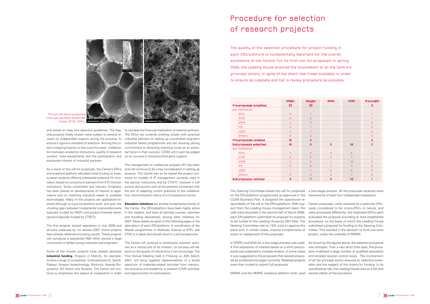and based on clear and objective guidelines. The flag-to increase the financial implication of external partners. content, trans-disciplinarity and the participation and on its success in attracting third-party support. expressed interest of industrial partners.

cations and on matching industrial needs to available tive, trans-institution nature of a Competence Centre. technologies. Many of the projects are application-oriented although at a pre-competitive level, and span the **Education initiatives** are another fundamental priority of opment (typically funded by CTI/KTI).

ship projects finally chosen were subject to several re-The ERUs are currently working closely with potential views by independent experts during the process, to industrial partners on setting up coordinated long-term ensure a rigorous standard of selection. Among the cri-industrial liaison programmes and are showing strong teria weighing heavily on the outcome were: collabora-commitment to attracting matching funds as an essention between academic institutions, quality of research tial factor in their success. CCMX will in part be judged

have already obtained promising results. These projects ETHZ is in place and should result in a joint programme. will constitute a substantial R&D effort around a large community of skilled young scientists and engineers.

As a result of this call for proposals, the Centre's ERUs and will continue to be a key consideration in setting up and analytical platform allocated initial funding to twen-projects. The Centre has so far based the project conty-seven projects offering substantial potential for inno- ) tracts on models of IP management currently used in vation, based on consortia of partners from ETH Domain the partner institutions and by CTI/KTI; however it will institutions, Swiss universities and industry. Emphasis pursue discussions with all the partners concerned with has been placed on developments of interest to appli-the aim of adapting current practices to the collabora-The management of intellectual property (IP) has been

«funding gap» between fundamental science/discovery the Centre. The ERUs/platform have been highly active (typically funded by SNSF) and product-oriented devel-in this respect, and have all planned courses, seminars The first projects started operations in July 2006 and description of each ERU/platform. A coordination of the all were underway by 1st January 2007. Some projects Master programmes in Materials Science at EPFL and and travelling laboratories, among other initiatives for 2007. More details are given in the following pages in the

Some of the chosen projects have already attracted pend on the quality of interactions it can encourage. The **industrial funding**. Projects in MatLife, for example, First Annual Meeting held in Fribourg on 20th March involve a range of companies: SurfaceSolutionS, Sanofi-2007, will bring together representatives of a broad Pasteur, Arrayon biotechnology, Biotronik, Ayanda Bio- spectrum of materials-related activities from industry, systems, AO Davos and Novartis. The Centre will con- the economy and academia, to present CCMX activities The Centre will continue to emphasise outreach activities as a central part of its mission; its success will de-

tinue to emphasise this aspect of cooperation in order and opportunities for participation.



Porous ceramics prepared from wet particle-stabilised foams (ETHZ, EPFL).

# Procedure for selection of research projects

The quality of the selection procedure for project funding in each ERU/platform is fundamentally important for the overall excellence of the Centre. For its first call for proposals in spring 2006, the Leading House ensured the involvement of all the Centre's principal actors, in spite of the short time frame available, in order to ensure as complete and fair a review procedure as possible.

The Steering Committee based the call for proposals a one-stage process. All the proposals received were on the ERU/platform programmes as approved in the reviewed by at least four independant assessors. CCMX Business Plan. It assigned the operational re-

action or realignment of the proposals.

sponsibility of the call to the ERUs/platform. With sup-Certain proposals, while received by a particular ERU, port from the Leading House management team, the were considered to be «trans-ERU» in nature, and calls were launched in the second half of March 2006; were processed differently; the implicated ERUs each each ERU/platform submitted its proposal for projects evaluated the proposal according to their established to be funded to the Leading House by 25th May. The procedure, on the basis of which the Leading House Steering Committee met on 12th June to approve the submitted a proposal for funding to the Steering Complans and, in certain cases, impose complements of mittee. This resulted in the decision to fund one extra project, under the umbrella of MMNS.

were then invited to submit full proposals.

In SPERU and MatLife, a two-stage process was used. As shown by the figures above, the selection procedure A first expression of interest based on a short pre-pro-was stringent. Over a very short time span, the proceposal was subjected to multiple reviews. In some cases dure mobilised a large number of qualified specialists it was suggested to the proposers that several propos-and entailed several control loops. The involvement als be combined into larger consortia. Retained projects of all the principal actors ensured an objective evaluation and the respect of the criteria for funding. In its coordinating role, the Leading House acts as a fair and

- 
- 
- 

MMNS and the NMMC analytical platform both used neutral arbiter of the procedure.

|                                |                                 | <b>SPERU</b>    | MatLife        | <b>MMNS</b>    | <b>NMMC</b>       | Trans-ERU      |
|--------------------------------|---------------------------------|-----------------|----------------|----------------|-------------------|----------------|
| Pre-proposals submitted        |                                 | 23              | 20             |                |                   | $\overline{2}$ |
| per institution                |                                 |                 |                |                |                   |                |
|                                | <b>EPFL</b>                     | 11              | $\overline{7}$ |                |                   |                |
|                                | <b>ETHZ</b>                     | $\mathbf{B}$    | 6              |                |                   |                |
|                                | <b>EMPA</b>                     | $\overline{2}$  | 3              |                |                   | $\Box$         |
|                                | PSI                             | $\Omega$        |                |                |                   | $\Box$         |
|                                | <b>CSEM</b>                     | $\overline{2}$  |                |                |                   | $\Box$         |
|                                | Others                          | $\overline{0}$  | $\overline{2}$ |                |                   | $\Box$         |
| Pre-proposals retained         |                                 | 19              | 9              |                |                   | $\overline{2}$ |
|                                | <b>Full proposals submitted</b> | 10 <sub>1</sub> | 8              | 9              | 18                | $\overline{2}$ |
|                                | per institution                 |                 |                |                |                   |                |
|                                | <b>EPFL</b>                     | $\overline{4}$  | 2              | $\overline{4}$ | 6                 |                |
|                                | <b>ETHZ</b>                     | 5               | 5              | 2              | 1                 |                |
|                                | <b>EMPA</b>                     | $\Omega$        | $\Omega$       | 1              | 10                | $\Box$         |
|                                | PSI                             | $\Omega$        | $\Omega$       | 2              | n                 | $\Box$         |
|                                | <b>CSEM</b>                     | 1               | 1              | $\Omega$       | $\Omega$          | $\Box$         |
|                                | Others                          | $\Omega$        | $\Omega$       | $\Omega$       |                   | $\Box$         |
| <b>Full proposals retained</b> |                                 | 4               | 7              | $\overline{4}$ | $12 \overline{ }$ | 1              |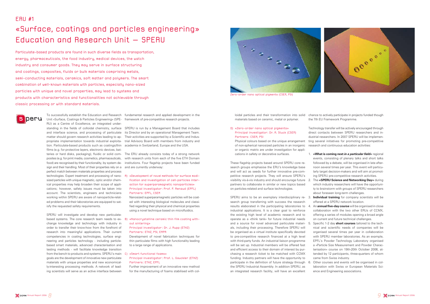Unit «Surface, Coatings & Particles Engineering» (SPE-framework of pre-competitive research projects. RU) as a Centre of Excellence, an integrated understanding in the fields of colloidal chemistry, surface SPERU is run by a Management Board that includes and interface science, and processing of particulate its Director and by an operational Management Team. matter should govern research activities leading to ap-Their activities are supported by a Scientific and Induspropriate implementation towards industrial exploita-trial Advisory Board with members from industry and tion. Particulate-based products such as coatings/thin academia in Switzerland, Europe and the USA. films (e.g. for protective layers, electronic devices, batteries or hard disks, packaging), fluidic or solid composites (e.g. for print media, cosmetics, pharmaceuticals, with research units from each of the five ETH Domain food) are recognised by their functionality, by system de-institutions. Four flagship projects have been funded sign and their handling. Most of their properties rely on a and are currently underway: perfect match between materials properties and process technologies. Expert treatment and processing of nano-A) «Development of novel methods for surface modisized particles with unique magnetic, optic and/or chemical properties may help broaden their scope of applications; however, safety issues must be taken into account. The scientists, engineers and technicians working within SPERU are aware of nanoparticle-related problems and their laboratories are equipped to satisfy the requested safety requirements.

To successfully establish the Education and Research fundamental research and applied development in the

SPERU will investigate and develop new particulatebased systems. The core research team needs to ex-B) «Nanocrystalline ceramic thin film coating withchange knowledge and technology with industry in order to transfer their know-how from the forefront of research into meaningful applications. Their current competencies in coating technologies, surface engineering and particles technology - including particlebased smart materials, advanced characterisation and testing methods - will facilitate knowledge transition from the bench to products and systems. SPERU's main C > «Smart functional foams» goals are the development of innovative new particulate materials with unique properties and new economically-interesting processing methods. A network of leading scientists will serve as an active interface between

The ERU already consists today of a strong network

SPERU aims to be an exemplary interdisciplinary re- 3. search group transferring with success the research results elaborated in the participating laboratories to industrial applications. It is a clear goal to reinforce the existing high level of academic research and to operate as a «think tank» for future industrial needs and a source for novel advanced particulate materi-5. Specific 1-2 day **short courses** tailored to the techals, including their processing. Therefore SPERU will be organised as a virtual institute specifically devoted to pre-competitive research financed at a high level with third-party funds. An industrial liaison programme will be set up. Industrial members will be offered fast and efficient access to their domain of interest by purchasing a research ticket to be matched with CCMX funding. Industry partners will have the opportunity to participate in the definition of future strategy through 6. the SPERU Industrial Assembly. In addition SPERU, as an integrated research facility, will have an excellent

fication and investigation of cell-particles interaction for superparamagnetic nanoparticles» Principal investigator: Prof. P. Renaud (EPFL) Partners: EPFL, CSEM

Nanosized superparamagnetic particles will be coated with interesting biological molecules and classified regarding their physical and chemical properties using a novel technique based on microfluidics.

### out sintering» Principal investigator: Dr. J. Rupp (ETHZ)

The «**SPERU Science and Networking Day**» during which industry researchers will have the opportunity to brainstorm with groups of SPERU researchers about foreseen long-term challenges.

### Partners: ETHZ, PSI, EMPA

**Individual training** for company scientists will be offered at a SPERU network location.

Development of novel fabrication techniques for thin particulate films with high functionality leading to a large range of applications.

### Principal investigator: Prof. L. Gauckler (ETHZ) Partners: ETHZ, EPFL

Further improvement of an innovative new method for the manufacturing of foams stabilised with col-

ERU #1

# «Surface, coatings and particles engineering» Education and Research Unit – SPERU

Other courses and events will be organised in collaboration with Swiss or European Materials Science and Engineering associations.

loidal particles and their transformation into solid materials based on ceramic, metal or polymer.

### D) «Zero-order nano optical pigments» Principal investigator: Dr. A. Stuck (CSEM) Partners: CSEM, PSI

Physical colours based on the unique arrangement of non-spherical nanosized particles in an inorganic or organic matrix are under investigation for applications in safety or decorative surfaces.

These flagship projects based around SPERU core research groups emphasise the ERU's knowledge base and will act as seeds for further innovative pre-competitive research projects. They will ensure SPERU's visibility vis-à-vis industry and should encourage future partners to collaborate in similar or new topics based on particles-related and surface technologies.

chance to actively participate in projects funded though the 7th EU Framework Programme.

Technology transfer will be actively encouraged through direct contacts between SPERU researchers and industrial researchers. In 2007 SPERU will be implementing several initiatives for promoting pre-competitive research and continuous education activities:

1. **«What is coming next** *in a particular field»* regional events, consisting of plenary talks and short talks followed by a debate, will be organised in late afternoon several times per year. This event will particularly target decision-makers and will aim at promoting SPERU pre-competitive research activities.

- 
- 
- 
- 

4. An **annual five-day course** will be organised in close collaboration with the two other ERUs of CCMX, offering a series of modules opening a broad angle on current and future technical challenges.

nical and scientific needs of companies will be organised several times per year in collaboration with SPERU member laboratories. As an example, EPFL's Powder Technology Laboratory organised a «Particle Size Measurement and Powder Characterisation» course on 19th-20th October 2006, attended by 12 participants, three-quarters of whom came from Swiss industry.

Particulate-based products are found in such diverse fields as transportation, energy, pharmaceuticals, the food industry, medical devices, the watch industry and consumer goods. They may serve in surface structuring and coatings, composites, fluids or bulk materials comprising metals, semi-conducting materials, ceramics, soft matter and polymers. The smart combination of well-known materials with particles, especially nano-sized particles with unique and novel properties, may lead to systems and products with characteristics and functionalities not achievable through classic processing or with standard materials.



Zero-order nano optical pigments (CSEM, PSI)

**S** peru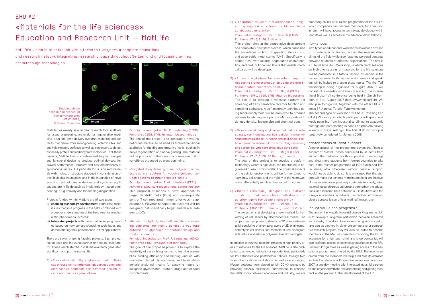MatLife has already several clear research foci: scaffolds for tissue engineering, materials for regenerative medicine, drug and gene delivery systems, materials and surfaces that derive from bioengineering, anti-microbial and anti-inflammatory surfaces as well as biosensors to detect especially protein and carbohydrate molecules. In all these projects, MatLife tries to combine enabling technologies and functional design to produce optimal devices. Improved performance, reliability and cost-effectiveness of applications will result. A particular focus is on soft materials with molecular structure designed in consideration of their biological interactions and in the integration of novel enabling technologies in devices and systems; applications are in fields such as implantology, tissue engineering, drug delivery and biosensing/diagnostics.

Projects funded within MatLife are of two types:

- (i) **enabling technology development**, addressing major issues that limit progress in the field, combined with a deeper understanding of the fundamental mechanistic phenomena involved;
- (ii) **integrated projects** with the aim of developing devices based on new concepts/enabling techniques and demonstrating their performance in first applications.
- B) «Targeted drug delivery: novel polymeric, nanoscale carrier systems for vaccine delivery (antigen delivery to immune system cells)» Principal investigator: Prof. J. Hubbell (EPFL) Partners: ETHZ, SurfaceSolutionS, Sanofi-Pasteur This proposal describes a novel approach to target dendritic cells (DCs) and consequently control T-cell mediated immunity for vaccine applications. Polymer nanoparticle systems will be designed that specifically target and deliver antigen to DCs.
- C) «Generic analytical, diagnostic and drug screening platforms, for highly parallel, array-type detection of glycosylated proteins/drugs and food components»

There are seven ongoing flagship projects. Each project has at least one industrial partner or hospital collaborator. Those which started in 2006 have already generated significant and promising results.

The goal of the proposed project is to explore the feasibility of assembling lectins, to test the assemblies' binding efficiency and binding kinetics with multivalent target glycoproteins, and to establish generic analytical means for assaying natural or designed glycosylated (protein) drugs and/or food complements.

A) «Three-dimensionally engineered cell culture substrates as nanofibrous, glucofunctionalised, electrospun scaffolds for directed growth of cells and nerve regeneration»

Principal investigator : Dr. C. Hinderling (CSEM) Partners: CSEM, ETHZ, Arrayon biotechnology The aim of the project is to generate a novel nanofibrous material to be used as three-dimensional scaffolds for the directed growth of cells, such as in nerve regeneration and nerve guiding. The material will be produced in the form of a non-woven mat of nanofibres produced by electrospinning.

#### Principal investigator: Prof. P. Seeberger (ETHZ) Partners : ETHZ, Arrayon biotechnology

### $FRII$ #2

# «Materials for the life sciences» Education and Research Unit – MatLife

D) «Implantable devices: biofunctionalised, drug-proposing an industrial liaison programme for the ERU of eluting magnesium implants as bioresorbable which companies can become members, for a fee, and cardiovascular stents»

### Principal investigator: Dr. S. Tosatti (ETHZ) Partners: ETHZ, EMPA, Biotronik

This project aims at the cooperative development of a completely new stent system, which combines Two types of educational workshops have been devised the advantages of both drug-eluting stents (DES) and absorbable metal stents (AMS). Specifically, a coated AMS with tailored degradation characteristics, and biofunctionalised layers that enable medical cargo will be developed.

E) «A versatile platform for screening drugs and respective fields. Both national and international speakmeasuring signal transduction using transmembrane protein receptors on chip» Principal investigator: Prof. H. Vogel (EPFL) Partners: EPFL, CSEM, ETHZ, Auanda Biosustems

screening of transmembrane receptor function and also plan to organise, together with the other ERUs, a signalling pathways. A self-assembly technique using block-copolymers will be employed to produce patterns for etching nanoporous SiNx supports with defined density, feature size and chemical cues.

In addition to running research projects in high-priority areas of materials for the life sciences, MatLife is also dedicated to advancing educational opportunities, particularly for PhD students and postdoctoral fellows, through two ceived from the members will help fund MatLife activities types of educational workshops, as well as encouraging such as the Educational Programme workshops. In autumn Master students from abroad to join CCMX projects by 2007, a one-day meeting with interested industrial partners providing financial assistance. Furthermore, to enhance will be organised with the aim of informing and getting feedthe relationship between academia and industry, we are back on the planned further development of the ILP.

**Workshops** 

MatLife's vision is to establish within three to five years a complete educational and research network integrating research groups throughout Switzerland and focusing on new

- F) «Three-dimensionally engineered cell culture sub-in each of these settings. The first TLab workshop is strates, for investigating how cellular microenvironments regulate cell function and as a single-cellbased in-vitro sensor platform for drug discovery Master thesis student support and screening with more predictive data sets» Principal investigator: Prof. V. Vogel (ETHZ) Partners: ETHZ, EMPA, AO Davos, Novartis The goal of this project is to develop a platform technology where single cells can be studied in engineered quasi-3D microwells. The physical aspects of the cellular environments will be further tuned to learn how cell shape and the rigidity of the microwell walls differentially regulate diverse cell functions.
- consisting of microstructured cell-sheets and foreign universities worldwide. For further information, polymer layers for tissue engineering» Principal investigator : Prof. J. Vörös (ETHZ)

Partners: ETHZ, EPFL, University Hospital Zurich Industrial liaison programme The project aims at developing a new method for harvesting of cell sheets by electrochemical means. The project team proposes to develop a 3D composite material consisting of alternating layers of 2D engineered, heterotypic cell sheets and microstructured biodegradable natural and artificial polymeric thin film hydrogels.

The aim is to develop a versatile platform for 29th to 31st August 2007 (http://www.biosurf.ch). We to provide specific training across the relevant disciplines of the field while also fostering personal contacts between students of different organisations. The first is a Tutorial Type (TuT) Workshop, in which block sessions on high-priority areas of materials for the life sciences will be presented in a tutorial fashion by leaders in the ers will be invited to present these topics. The first TuT workshop is being organised for August 2007; it will consist of a one-day workshop preceding the international Biosurf VII conference being held in Zurich from cross-ERU annual Tutorial Type workshop.

in return will have access to technology developed within MatLife as well as access to the educational workshops.

G) «Three-dimensionally designed cell cultures tional and research links between our institutions and top Another aspect of the programme covers the financial support of Master Theses conducted by students from abroad. The motivation for this support is to encourage and allow more students from foreign countries to take part in the master programmes of ETH Zurich and EPF Lausanne, who otherwise, without financial support, would not be able to do so. It is envisaged that this support will make our schools more international on the level of master education, positively contribute to a lively, international research group culture and strengthen the educaplease contact liaison-officer-matlife@mat.ethz.ch.

The second type of workshop will be a Travelling Lab (TLab) Workshop in which participants will spend one week travelling from industrial to clinical to academic settings and participating in hands-on problem solving tentatively scheduled for January 2008.

The aim of the MatLife Industrial Liaison Programme (ILP) is to develop a long-term partnership between academia and industry. In addition to industries being encouraged to take part as partners in either pre-competitive or competitive research projects, they will also be invited to become members in the MatLife consortium by joining the ILP. In exchange for a fee, both small and large companies will gain preferred access to technology developed in the ERU Research Programme as well as gaining access to the educational programmes offered by the ERU. The income re-

breakthrough technologies.



Studying single cells in engineered 3D microenvironments (ETHZ, EMPA, AO Davos, Novartis)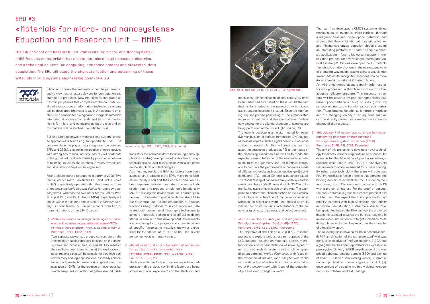### ERU #3

The Educational and Research Unit «Materials for Micro- and Nanosystems» MMNS focuses on materials that create new micro- and nanoscale electrical and mechanical devices for computing, embedded control and biomedical data acquisition. The ERU will study the characterisation and patterning of these materials from a sustems engineering point-of-view.



# «Materials for micro- and nanosystems» Education and Research Unit – MMNS

Silicon and some other materials should be patterned in such a way that nanoscale devices for computation and storage are produced. New materials for integrated ultrasmall peripherals that complement the computational and storage core of information technology systems will be developed (thematic focus i). A «laboratory-on-achip» with sensors for biological and inorganic materials integrated at a very small scale and transport mechanisms for micro- and nanosamples on the chip and on microarrays will be studied (thematic focus ii).

Building a bridge between materials- and systems-oriented approaches is seen as a great opportunity. The ERU is uniquely placed to play a major integrative role between EPFL and CSEM, a leader in the creation of micro-devices with strong ties to local industry. MMNS will contribute to the growth of local enterprises by providing a network of teaching, research and contacts. A yearly symposium and several workshops will be organised.

Four projects started operations in summer 2006. Two teams, led by Prof. Y. Leblebici (EPFL) and Prof. J. Vörös (ETHZ) respectively operate within the thematic focus of *materials technologies and design for micro and nanosystems*, whereas the two other teams, led by Prof. M. Gijs (EPFL) and Dr. Q. Ren (EMPA) respectively are active within the second focus area of *laboratory-on-achip*. All four teams include participants from two or more institutions of the ETH Domain.

### A) «Materials, devices and design technologies for nanoelectronic systems beyond ultimately scaled CMOS» Principal investigator: Prof. Y. Leblebici (EPFL) Partners: EPFL, ETHZ, CSEM

Two separate project sub-groups concentrate on the «technology-materials-devices» area and on the «nanosystems and circuits» area, in parallel. Key research B) themes have been identified as (i) the exploration of novel materials that will be suitable for very high-density memory and logic applications (especially concentrating on ferro-electric materials), (ii) growth and manipulation of CNTs for the creation of novel cross-bar switch arrays, (iii) exploration of gate-all-around (GAA)

transistors as viable candidates for novel logic array applications, and (iv) development of fault- tolerant design techniques to be used in conjunction with failure-prone device structures and technologies.

As a first key result, the GAA transistors have been successfully produced in the EPFL micro-nano fabrication facility (CMI) and their correct operation has been experimentally demonstrated. The second fabrication round to produce simple logic functionality (AND/OR) using this device structure is currently underway. The near-term goal is to demonstrate PLAlike array structures for implementation of Boolean functions using matrices of silicon nanowires, fabricated with conventional lithography techniques (a series of isotropic etching and sacrificial oxidation steps). In parallel to this development, experiments are continuing for the process and characterisation of specific ferroelectric materials (polymer dielectrics) for the fabrication of FETs to be used in very dense non-volatile memory arrays.

### B) «Development and characterisation of nanowires for applications in bio-electronics» Principal investigator: Prof. J. Vörös (ETHZ) Partners: ETHZ, PSI

The large scale production of nanowires is being addressed in this project. Key limiting factors are being addressed; initial experiments on the electronic and mechanical characterisation of the nanowires have been performed and based on these results the first designs for interfacing the nanowires with micronsize structures have been created. Since the interfacing requires precise positioning of the prefabricated micron-size features and the nanopatterns, preliminary studies for the aligned exposure of samples are being performed at the Swiss Light Source, PSI.

The team is developing an in-situ method for selective manipulation of surface immobilised DNA-tagged nano-scale objects, such as gold colloids in aqueous solution at neutral pH. This will allow the team to adapt the structures produced at PSI to the needs of the biosensing experiments as well as to model the expected sensing behaviour of the nanowires in order to optimise the geometry and the interface design, and to compare the performance of nanowires made of different materials, such as conductive (gold), semiconductive (ITO, doped Si), and nanoparticle-based. The tensile testing of nanowires arrays with systematic variations in height (25-50 nm) and width (30-70 nm) for monitoring scale effects is also on the way. The team plans to perform the characterisation of the electrical conductivity as a function of nanowire dimensions (variations in height and width) and applied strain as well as the microstructural characterisation of the nanowires (grain size, roughness, and defect densities).

### C) «Lab-on-a-chip for analysis and diagnostics» Principal investigator: Prof. M. Gijs (EPFL) Partners: EPFL, CSEM, ETHZ, Microsens

The objective of the Lab-on-a-Chip (LoC) research project is to explore various research aspects of the LoC concept, focusing on materials, design, microfabrication and experimentation of novel types of miniaturised analysis systems in the following application domains: *in vitro diagnostics* with focus on the detection of malaria, *food analysis* with focus on the detection of antibiotics in milk and *monitoring of the environment* with focus of the detection of pH and ionic strength in water.

The team has developed a CMOS system enabling manipulation of magnetic micro-particles through a magnetic field and in-situ optical detection, and showed that the combination of magnetic actuation and miniaturised optical detection diodes presents an interesting platform for future on-chip bio-analysis applications. Also, a biological receptor immobilization protocol for a wavelength interrogated optical system (WIOS) was developed. WIOS detects the refractive index changes in the evanescent wave of a straight waveguide grating using a wavelength sweep. Molecular recognition reactions can be monitored in real-time without the use of labels.

An AlN shear-mode acousto-gravimetric resonator was processed in the clean room on top of an acoustic reflector structure. This resonator structure will be covered by photolithographically patterned poly(methacrylic acid) brushes grown by surface-initiated atom-transfer radical polymerization. These brushes function as ionotropic matrices and the changing ionicity of an aqueous solution can be directly probed via a resonance frequency change of the resonator.

### D) «Biopolymer PHA as surface materials for micropatterning proteins on microarrays» Principal investigator: Dr. Q. Ren (EMPA) Partners: EMPA, PSI, ETHZ, Preentec

The aim of this project is to develop a novel technology for directly immobilising proteins on surfaces, for example for the fabrication of protein microarrays. Medium chain length (mcl) PHA are biopolyesters that are exceptionally well-suited for surface coating. By using gene technology the team will construct PHA-immobilisable fusion proteins that combine the binding domain of extracellular mclPHA depolymerase (PhaZ, from *Pseudomonas fluorescens* GK13) with a protein of interest. For the proof of concept the easily detectable green fluorescent protein (GFP) will be used. We expect the fusion protein to bind mclPHA surfaces with high specificity, high affinity and without denaturation. Furthermore, due to PhaZ being oriented toward the PHA surface, the protein of interest is exposed towards the outside, resulting in an enhanced interaction with target molecules. With its tight financial frame, the project has the character of a feasibility study.

The following tasks have so far been accomplished: (i) PCR amplification of the complete *phaZ* wild-type gene, of an inactivated PhaZ variant gene (S172A) and a *gfp* gene that has been optimised for expression in prokaryotes (GFPuv), (ii) PCR amplification of the supposed substrate binding domain (SBD) and cloning of *phaZ* SBD in an *E. coli* cloning vector, (iii) production and purification of various types of mclPHA, (iv), development of a coating method yielding homogeneous, bubble-free mclPHA coatings.



Lab-on-a-chip set-up (EPFL, CSEM, ETHZ, Microsens)



Lab-on-a-chip (EPFL, CSEM, ETHZ, Microsens)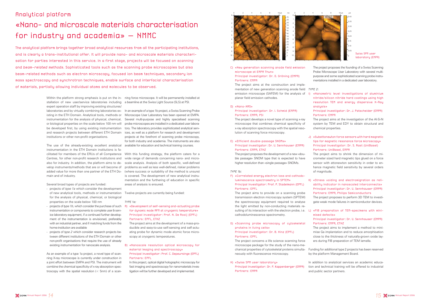# Analytical platform «Nano- and microscale materials characterisation for industry and academia» – NMMC

The analytical platform brings together broad analytical resources from all the participating institutions, and is clearly a trans-institutional offer. It will provide nano- and microscale materials characterisation for parties interested in this service. In a first stage, projects will be focused on scanning and beam-related methods. Sophisticated tools such as the scanning probe microscopies but also beam-related methods such as electron microscopy, focused ion beam techniques, secondary ion mass spectroscopy and synchrotron techniques, enable surface and interfacial characterisation of materials, partially allowing individual atoms and molecules to be observed.

> Within the platform strong emphasis is put on the in-ning force microscope. It will be permanently installed at stallation of new user/service laboratories including a beamline at the Swiss Light Source (SLS) at PSI. expert operation staff by improving existing structures/ laboratories and by virtually combining laboratories ex-In an example of a type 1b project, a Swiss Scanning Probe isting in the ETH Domain. Analytical tools, methods or Microscope User Laboratory has been opened at EMPA. instrumentation for the analysis of physical, chemical, Several multi-purpose and highly specialised scanning or biological properties on the scale below 100 nm will probe microscopes are installed in a dedicated user laborabe developed first, by using existing instrumentation tory. The laboratory provides sophisticated analytical servand research projects between different ETH Domain ices, as well as a platform for research and development institutions or other non-profit organisations.

As an example of a type 1a project, a novel type of scanning X-ray microscope is currently under construction in a joint effort between EMPA and PSI. The instrument will combine the chemical specificity of x-ray absorption spectroscopy with the spatial resolution  $(< 5$ nm) of a scan-

The use of the already-existing excellent analytical instrumentation in the ETH Domain institutions is facilitated for members of the ERUs of all Competence main and of industry.

Several broad types of projects are funded:

- projects of *type 1a* which consider the development of new analytical tools, methods or instrumentation for the analysis of physical, chemical, or biological properties on the scale below 100 nm
- projects of *type 1b*, which consider the purchase of such instrumentation or components to complete user & service laboratory equipment, if a continued further development of the instrumentation is envisioned, preferably with an industrial partner, and if matching funds from the home-institution are available
- projects of *type 2* which consider research projects between different institutions of the ETH Domain or other non-profit organisations that require the use of already existing instrumentation for nanoscale analysis.

Centres, for other non-profit research institutions and wide range of demands concerning nano- and microalso for industry. In addition, the platform aims to de-scale analysis. Analysis of both specific, well-defined velop instruments/methods that are or will become of problems as well as less well-defined, riskier problems added value for more than one partner of the ETH Do-(where success or suitability of the method is unsure) With this funding strategy, the platform caters for a is covered. The development of new analytical instrumentation and the furthering of education in specific areas of analysis is ensured.

projects at the forefront of scanning probe microscopy, for both industry and academia. The instruments are also available for education and technical training courses.

analusis» Partners: EMPA

Twelve projects are currently being funded:

#### TYPE 1a:

A) «Development of self-sensing and-actuating probe for dynamic mode AFM at cryogenic temperature» Principal investigator: Prof. N. De Rooij (EPFL) Partners: EPFL, ETHZ

The project aims at the development of a mass-producible and easy-to-use self-sensing and self-actuating probe for dynamic mode atomic force microscopy at cryogenic temperatures.

### B) «Nanoscale resolution optical microscopy for material imaging and spectroscopy» Principal investigator: Prof. C. Depeursinge (EPFL) Partners: EPFL

In this project, optical digital holographic microscopy for fast imaging and spectroscopy for nanomaterials investigation will be further developed and implemented.

#### C) «New generation scanning anode field emission microscope at EMPA Thun» Principal investigator: Dr. O. Gröning (EMPA) Partners: EMPA

The project aims at the construction and implementation of new generation scanning anode field TYPE 2: emission microscope (SAFEM) for the analysis of 1) «Nanometric level investigations of aluminium planar field emission cathodes.

#### D) «Nano-XAS» Principal investigator: Dr. I. Schmid (EMPA) Partners: EMPA, PSI

The project develops a novel type of scanning x-ray microscope that combines chemical specificity of x-ray absorption spectroscopy with the spatial resolution of scanning force microscopy.

#### E) «Efficient double-passage SNOMs» Principal investigator: Dr. U. Sennhauser (EMPA) Partners: EMPA, ETHZ

The project proposes the development of a new «double passage» SNOM type that is expected to have higher resolution than «single passage» SNOMs.

#### TYPE 1b:

F) «Correlated energy electron loss and cathodoluminescence spectrometry in SPTEM» Principal investigator: Prof. P. Stadelmann (EPFL) Partners: EPFL

The project aims to provide on a scanning probe transmission electron microscopy system (SPTEM) the spectroscopy equipment required to analyse the light emitted by non-conducting materials resulting of its interaction with the electron probe, i.e. L) «FIB preparation of TEM-specimens with minicathodoluminescence spectrometry.

### G) «Scanning probe microscopy of cytoskeletal proteins in living cells» Principal investigator: Dr. B. Hinz (EPFL)

### Partners: EPFL

The project concerns a life science scanning force microscope package for the study of the nano-mechanical properties of cytoskeletal proteins simultaneously with fluorescence microscopy.

### H) «Swiss SPM user laboratory» Principal investigator: Dr. P. Kappenberger (EMPA) Partners: EMPA

The project proposes the founding of a Swiss Scanning Probe Microscope User Laboratory with several multipurpose and some sophisticated scanning probe instrumentations installed in a dedicated user laboratory.

nitride/silicon nitride hard coatings using high resolution TEM and energy dispersive X-Ray

Principal investigator: Dr. J. Patscheider (EMPA)

The project aims at the investigation of the Al-Si-N system by TEM and EDY to obtain structural and chemical properties.

J) «Subattonewton force sensors with hard magnetic tips for magnetic resonance force microscopy» Principal investigator: Dr. S. Rast (UniBasel) Partners: UniBasel, EMPA

The project aims to shrink the dimension of micrometer sized hard magnetic tips glued on a force sensor with attonewton sensitivity in order to enhance magnetic field sensitivity by several orders of magnitude.

K) «Stress voiding and electromigration as reliability indicator in nanoscaled interconnects» Principal investigator: Dr. U. Sennhauser (EMPA) Partners: EMPA, Philips Semiconductors

The project proposes to perform 3D TEM to investigate weak mode failures in semiconductor devices.

mised defects» Principal investigator: Dr. U. Sennhauser (EMPA) Partners: EMPA, ETHZ

The project aims to implement a method to minimise Ga implantation and to reduce amorphisation close to the thickness of naturally-grown oxide layers during FIB preparation of TEM lamella.

Funding for additional type 2 projects has been reserved by the platform Management Board.

In addition to analytical services an academic education and technical training will be offered to industrial and public sector partners.

Swiss SPM user laboratory (EMPA)



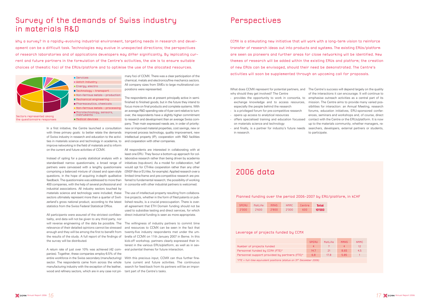In a first initiative, the Centre launched a consultation with three primary goals: to better relate the demands of Swiss industry in research and education to the activities in materials science and technology in academia, to improve networking in the field of materials and to inform on the current and future activities of CCMX.

Instead of opting for a purely statistical analysis with a standardised narrow questionnaire, a broad range of questions, in the hope of acquiring in-depth qualitative limited time-frame and pre-competitive research are prefeedback. The questionnaire was addressed to more than 400 companies, with the help of several professional and in consortia with other industrial partners is welcomed. industrial associations. All industry sectors touched by materials science and technology were included; these sectors ultimately represent more than a quarter of Swit-tive projects, whether in the form of fi led patents or pubzerland's gross national product, according to the latest statistics from the Swiss Federal Statistical Office.

All participants were assured of the strictest confidentiality, and data will not be given to any third party, nor will reverse engineering of the data be possible. The enough and they will be among the first to benefit from 'twenty-five' industry respondents met under the umthe survey will be distributed.

A return rate of just over 10% was achieved (42 com-eral potential themes for future interaction. panies). Together, these companies employ 6.5% of the wood and refinery sectors, which are in any case not pri- tant part of the Centre's tasks.

Why a survey? In a rapidly-evolving industrial environment, targeting needs in research and development can be a difficult task. Technologies may evolve in unexpected directions; the perspectives of research laboratories and of applications developers may differ significantly. By implicating current and future partners in the formulation of the Centre's activities, the aim is to ensure suitable choices of thematic foci of the ERUs/platform and to optimise the use of the allocated resources.

> partners were canvassed with a lengthy questionnaire would opt for CTI-like cooperation rather than any other comprising a balanced mixture of closed and open-style (SNSF-like or EU-like, for example). Applied research over a All respondents are interested in collaborating with at least one ERU. They favour a bottom-up approach for collaborative research rather than being driven by academia initiatives (top-down). As a model for collaboration, half ferred to fundamental research; the possibility of working

> entire workforce in the Swiss secondary (manufacturing) With this precious input, CCMX can thus further finesector. The respondents came from across the whole tune current and future activities. The continuous manufacturing industry with the exception of the leather, search for feed-back from its partners will be an impor-

## Survey of the demands of Swiss industry in materials R&D

mary foci of CCMX. There was a clear participation of the chemical, metals and electronics/fine mechanics sectors. All company sizes from SMEs to large multinational corporations were represented.

relevance of their detailed opinions cannot be stressed and resources to CCMX can be seen in the fact that the results of the study. A full report of the findings of brella of CCMX on 11th January 2007 in Berne. In this The willingness of industry partners to commit time kick-off workshop, partners clearly expressed their interest in the various ERUs/platform, as well as in sev- and finally, is a partner for industry's future needs searchers, developers, external partners or students, of the interactions it can encourage. It will continue to emphasise outreach activities as a central part of its mission. The Centre aims to provide many varied possibilities for interaction: an Annual Meeting, research forums, education initiatives, ERU-sponsored conferences, seminars and workshops and, of course, direct contact with the Centre or the ERUs/platform. It is now up to the materials community, whether managers, reto participate.

The respondents are at present principally active in semifinished to finished goods, but in the future they intend to focus more on final products and complete systems. With an average R&D spending rate of 4 per cent relative to turnover, the respondents have a slightly higher commitment to research and development than an average Swiss company. Their main expressed needs are, in order of priority: new or improved material properties, cost savings, new or improved process technology, quality improvement, new intellectual property (IP), cooperation with R&D facilities and cooperation with other companies.

The use of intellectual property resulting from collaboralished results, is a crucial preoccupation. There is overall agreement that ETH Domain funding should not be used to subsidise testing and direct services, for which direct industrial funding is seen as more appropriate.

## Perspectives

What does CCMX represent for potential partners, and The Centre's success will depend largely on the quality why should they get involved? The Centre

- provides the opportunity to work in consortia, to exchange knowledge and to access resources, especially the people behind the research
- is a privileged forum for pre-competitive research
- opens up access to analytical resources
- offers specialised training and education focussed on materials science and technology
- in research.

CCMX is a stimulating new initiative that will work with a long-term vision to reinforce transfer of research ideas out into products and systems. The existing ERUs/platform are seen as pioneers and further areas for close networking will be identified. New themes of research will be added within the existing ERUs and platform; the creation of new ERUs can be envisaged, should their need be demonstrated. The Centre's activities will soon be supplemented through an upcoming call for proposals.

## 2006 data

### Planned funding over the period 2006-2007 by ERU/platform, in kCHF

| <b>SPERII</b> | MatLife | <b>MMNS</b> | NMM <sub>C</sub> | Centre | Total  |
|---------------|---------|-------------|------------------|--------|--------|
| orno 2        | 2'600.  | $2'$ BNN    | 2'NNN            | nna    | 10'000 |

### Leverage of projects funded by CCMX

|                                                                      | <b>SPERU</b> | M |  |  |
|----------------------------------------------------------------------|--------------|---|--|--|
| Number of projects funded                                            | 4            |   |  |  |
| Personnel funded by CCMX (FTE)*                                      | 14.7         |   |  |  |
| Personnel support provided by partners (FTE)*                        | 6.8          |   |  |  |
| *FTE = full-time equivalent positions (status on 31st December 2006) |              |   |  |  |





Sectors represented among the questionnaire responses

**Services Watch industry Energy, electro** Technology - transport Non-ferrous metals - production **Mechanical engineering Pharmaceutics, chemicals** Non-ferrous metals - processing Microtechnology, sensors, instruments **Medical devices**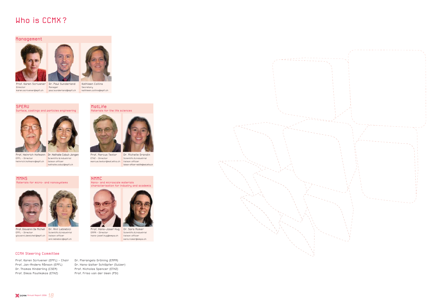



## Who is CCMX ?

Manager





Prof. Heinrich Hofmann Dr. Nathalie Cobut-Jongen EPFL - Director heinrich.hofmann@epfl.ch liaison officer

Scientific &industrial nathalie.cobut@epfl.ch

Prof. Marcus Textor ETHZ - Director

Dr. Michelle Grandin

marcus.textor@mat.ethz.ch liaison officer Scientific &industrial liaison-officer-matlife@mat.ethz.ch

Prof. Giovanni De Micheli Dr. Anil Leblebici EPFL - Director giovanni.demicheli@epfl.ch liaison officer

Prof. Karen Scrivener Dr. Paul Sunderland karen.scrivener@epfl.ch paul.sunderland@epfl.ch Director

> Scientific &industrial anil.leblebici@epfl.ch

EMPA - Director

Prof. Hans-Josef Hug Dr. Sara Romer hans-josef.hug@empa.ch Scientific &industrial liaison officer sara.romer@empa.ch



Surface, coatings and particles engineering





MMNS

## Materials for micro- and nanosystems







### Management





Kathleen Collins Secretary kathleen.collins@epfl.ch

### CCMX Steering Committee

Prof. Karen Scrivener (EPFL) - Chair Prof. Jan-Anders Månson (EPFL) Dr. Thomas Hinderling (CSEM) Prof. Dimos Poulikakos (ETHZ)

# Dr. Pierangelo Gröning (EMPA)

Dr. Hans-Walter Schläpfer (Sulzer) Prof. Nicholas Spencer (ETHZ) Prof. Friso van der Veen (PSI)